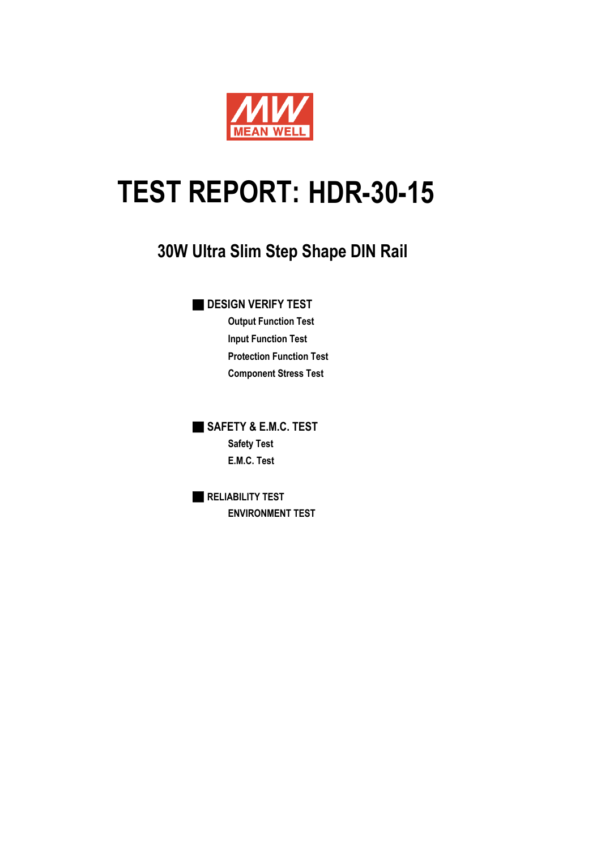

# TEST REPORT: HDR-30-15

# **30W Ultra Slim Step Shape DIN Rail**

■ **DESIGN VERIFY TEST**

**Output Function Test Input Function Test Protection Function Test Component Stress Test**

■ **SAFETY & E.M.C. TEST Safety Test E.M.C. Test**

■ **RELIABILITY TEST ENVIRONMENT TEST**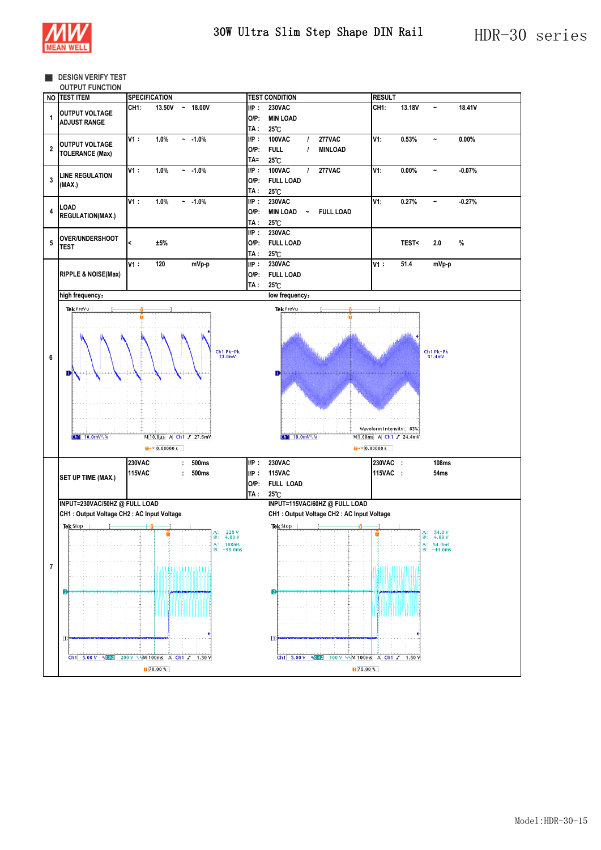

#### **B** DESIGN VERIFY TEST

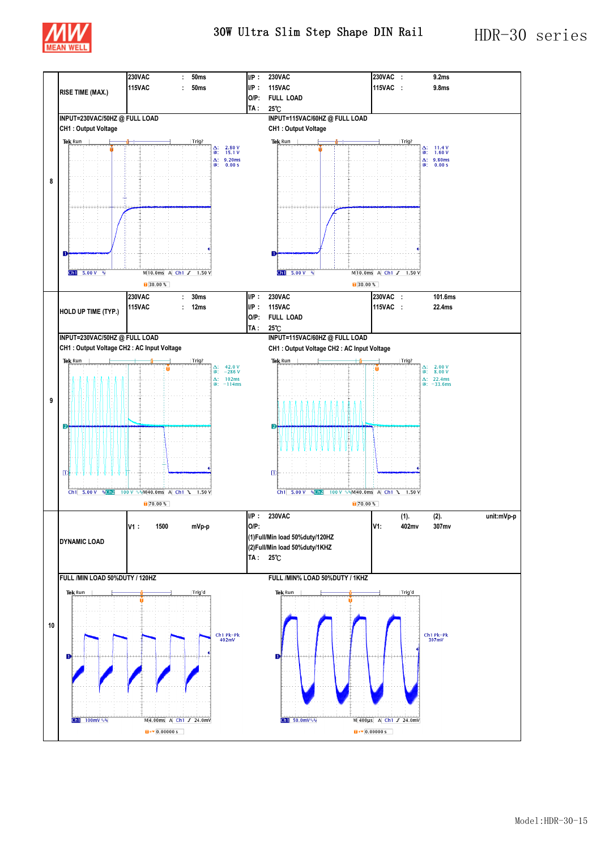

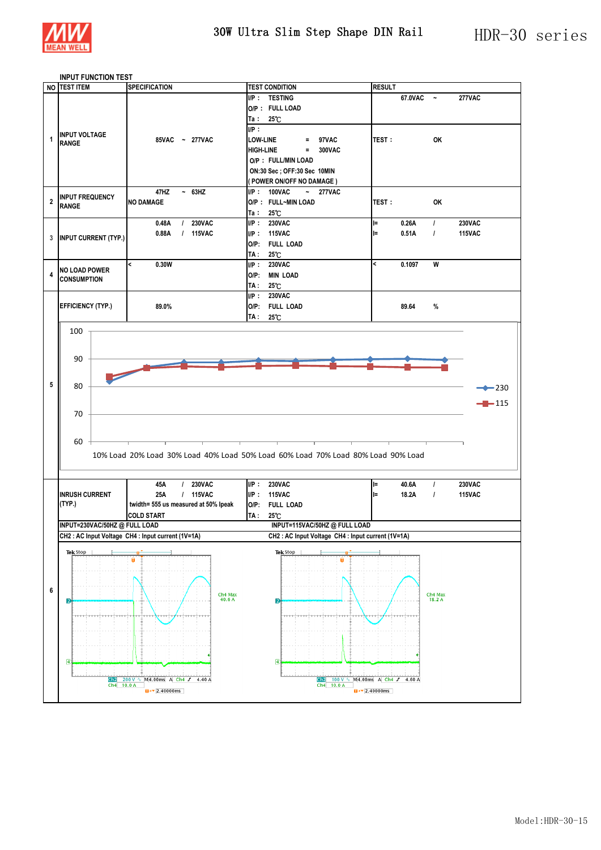

# **INPUT FUNCTION TEST**

|                         | <b>TEST ITEM</b>                       | <b>SPECIFICATION</b>                                                        | <b>TEST CONDITION</b>                                                            | <b>RESULT</b>                             |              |                   |               |
|-------------------------|----------------------------------------|-----------------------------------------------------------------------------|----------------------------------------------------------------------------------|-------------------------------------------|--------------|-------------------|---------------|
|                         |                                        |                                                                             | I/P: TESTING                                                                     |                                           | $67.0$ VAC ~ |                   | <b>277VAC</b> |
|                         |                                        |                                                                             | O/P: FULL LOAD                                                                   |                                           |              |                   |               |
|                         |                                        |                                                                             | $Ta: 25^{\circ}C$                                                                |                                           |              |                   |               |
|                         |                                        |                                                                             | IP:                                                                              |                                           |              |                   |               |
| 1                       | <b>INPUT VOLTAGE</b>                   |                                                                             |                                                                                  |                                           |              |                   |               |
|                         | <b>RANGE</b>                           | 85VAC ~ 277VAC                                                              | <b>LOW-LINE</b><br>$= 97VAC$                                                     | <b>TEST:</b>                              |              | OK                |               |
|                         |                                        |                                                                             | <b>HIGH-LINE</b><br>$= 300VAC$                                                   |                                           |              |                   |               |
|                         |                                        |                                                                             | O/P : FULL/MIN LOAD                                                              |                                           |              |                   |               |
|                         |                                        |                                                                             | ON:30 Sec; OFF:30 Sec 10MIN                                                      |                                           |              |                   |               |
|                         |                                        |                                                                             | (POWER ON/OFF NO DAMAGE)                                                         |                                           |              |                   |               |
|                         |                                        | $~-$ 63HZ<br>47HZ                                                           | $I/P$ : 100VAC<br>$\sim 277$ VAC                                                 |                                           |              |                   |               |
| $\overline{2}$          | <b>INPUT FREQUENCY</b><br><b>RANGE</b> | <b>NO DAMAGE</b>                                                            | O/P: FULL~MIN LOAD                                                               | <b>TEST:</b>                              |              | <b>OK</b>         |               |
|                         |                                        |                                                                             | $Ta: 25^{\circ}C$                                                                |                                           |              |                   |               |
|                         |                                        | / 230VAC<br>0.48A                                                           | IP: 230VAC                                                                       | $=$                                       | 0.26A        | $\prime$          | <b>230VAC</b> |
|                         |                                        | / 115VAC<br>0.88A                                                           | I/P: 115VAC                                                                      | $=$                                       | 0.51A        | $\prime$          | <b>115VAC</b> |
|                         | 3 INPUT CURRENT (TYP.)                 |                                                                             | O/P: FULL LOAD                                                                   |                                           |              |                   |               |
|                         |                                        |                                                                             | TA :<br>$25^\circ$ C                                                             |                                           |              |                   |               |
|                         |                                        | $\overline{\phantom{a}}$<br>0.30W                                           | IP:<br><b>230VAC</b>                                                             | $\overline{\phantom{a}}$                  | 0.1097       | W                 |               |
| $\overline{\mathbf{4}}$ | <b>NO LOAD POWER</b>                   |                                                                             | O/P: MIN LOAD                                                                    |                                           |              |                   |               |
|                         | <b>CONSUMPTION</b>                     |                                                                             |                                                                                  |                                           |              |                   |               |
|                         |                                        |                                                                             | TA:<br>$25^\circ$ C                                                              |                                           |              |                   |               |
|                         |                                        |                                                                             | I/P: 230VAC                                                                      |                                           |              |                   |               |
|                         | <b>EFFICIENCY (TYP.)</b>               | 89.0%                                                                       | O/P: FULL LOAD                                                                   |                                           | 89.64        | %                 |               |
|                         |                                        |                                                                             | TA: 25°C                                                                         |                                           |              |                   |               |
|                         | 100                                    |                                                                             |                                                                                  |                                           |              |                   |               |
|                         |                                        |                                                                             |                                                                                  |                                           |              |                   |               |
|                         |                                        |                                                                             |                                                                                  |                                           |              |                   |               |
|                         | 90                                     |                                                                             |                                                                                  |                                           |              |                   |               |
|                         |                                        |                                                                             |                                                                                  |                                           |              |                   |               |
| 5                       |                                        |                                                                             |                                                                                  |                                           |              |                   |               |
|                         |                                        |                                                                             |                                                                                  |                                           |              |                   |               |
|                         | 80                                     |                                                                             |                                                                                  |                                           |              |                   | $-230$        |
|                         |                                        |                                                                             |                                                                                  |                                           |              |                   |               |
|                         |                                        |                                                                             |                                                                                  |                                           |              |                   | $-115$        |
|                         | 70                                     |                                                                             |                                                                                  |                                           |              |                   |               |
|                         |                                        |                                                                             |                                                                                  |                                           |              |                   |               |
|                         | 60                                     |                                                                             |                                                                                  |                                           |              |                   |               |
|                         |                                        |                                                                             | 10% Load 20% Load 30% Load 40% Load 50% Load 60% Load 70% Load 80% Load 90% Load |                                           |              |                   |               |
|                         |                                        |                                                                             |                                                                                  |                                           |              |                   |               |
|                         |                                        |                                                                             |                                                                                  |                                           |              |                   |               |
|                         |                                        | / 230VAC<br>45A                                                             | I/P: 230VAC                                                                      | l=                                        | 40.6A        | $\prime$          | <b>230VAC</b> |
|                         | <b>INRUSH CURRENT</b>                  | / 115VAC<br>25A                                                             | I/P: 115VAC                                                                      | ll=                                       | 18.2A        | $\prime$          | <b>115VAC</b> |
|                         | (TYP.)                                 | twidth= 555 us measured at 50% lpeak                                        | O/P: FULL LOAD                                                                   |                                           |              |                   |               |
|                         |                                        | <b>COLD START</b>                                                           | TA :                                                                             |                                           |              |                   |               |
|                         | INPUT=230VAC/50HZ @ FULL LOAD          |                                                                             | $25^\circ$ C<br>INPUT=115VAC/50HZ @ FULL LOAD                                    |                                           |              |                   |               |
|                         |                                        | CH2 : AC Input Voltage CH4 : Input current (1V=1A)                          | CH2: AC Input Voltage CH4: Input current (1V=1A)                                 |                                           |              |                   |               |
|                         |                                        |                                                                             |                                                                                  |                                           |              |                   |               |
|                         | Tek Stop                               |                                                                             | Tek Stop                                                                         |                                           |              |                   |               |
|                         |                                        |                                                                             |                                                                                  |                                           |              |                   |               |
|                         |                                        |                                                                             |                                                                                  |                                           |              |                   |               |
|                         |                                        |                                                                             |                                                                                  |                                           |              |                   |               |
| 6                       |                                        |                                                                             |                                                                                  |                                           |              |                   |               |
|                         | D                                      | Ch4 Max<br>40.6 A                                                           | $\overline{2}$                                                                   |                                           |              | Ch4 Max<br>18.2 A |               |
|                         |                                        |                                                                             | aranjenarjaneni                                                                  |                                           | عصمائصته     |                   |               |
|                         |                                        |                                                                             |                                                                                  |                                           |              |                   |               |
|                         |                                        |                                                                             |                                                                                  |                                           |              |                   |               |
|                         |                                        |                                                                             |                                                                                  |                                           |              |                   |               |
|                         |                                        |                                                                             |                                                                                  |                                           |              |                   |               |
|                         | ⑧                                      |                                                                             | $\overline{a}$                                                                   |                                           |              |                   |               |
|                         |                                        |                                                                             |                                                                                  |                                           |              |                   |               |
|                         | Ch2<br>Ch4 10.0 A                      | 200 V ∿ M4.00ms A Ch4 J 4.40 A<br>$\overline{u}$ + $\overline{v}$ 2.40000ms | 100 V \ M4.00ms A Ch4 J 4.60 A<br>Ch2<br>Ch4 10.0 A                              | $\overline{u}$ + $\overline{u}$ 2.40000ms |              |                   |               |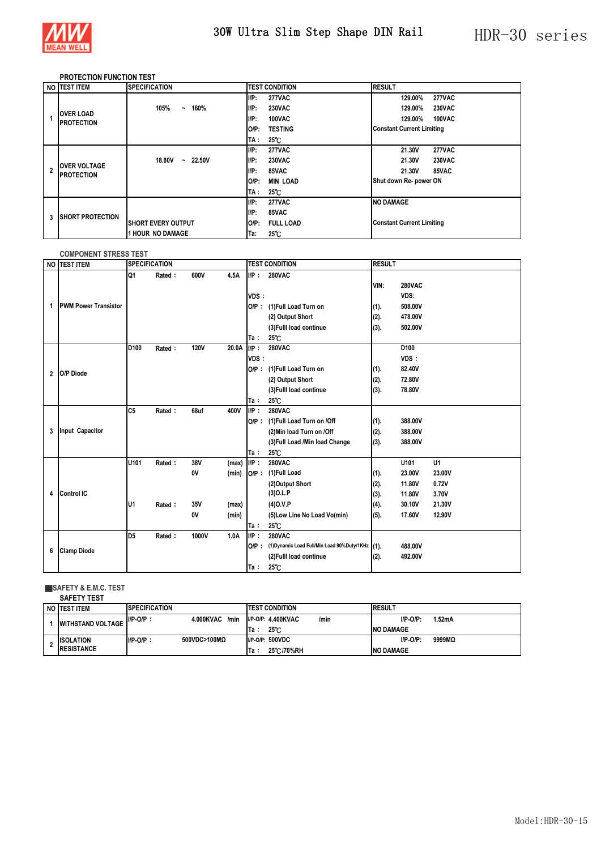

## **PROTECTION FUNCTION TEST**

|   | NO TEST ITEM                             | <b>SPECIFICATION</b>                             | <b>TEST CONDITION</b>     | <b>RESULT</b>                    |
|---|------------------------------------------|--------------------------------------------------|---------------------------|----------------------------------|
|   |                                          |                                                  | UP:<br><b>277VAC</b>      | <b>277VAC</b><br>129.00%         |
|   |                                          | 105%<br>160%<br>$\tilde{\phantom{a}}$            | UP:<br><b>230VAC</b>      | <b>230VAC</b><br>129.00%         |
|   | <b>OVER LOAD</b><br><b>PROTECTION</b>    |                                                  | UP:<br>100VAC             | 129.00%<br>100VAC                |
|   |                                          |                                                  | <b>TESTING</b><br>$O/P$ : | <b>Constant Current Limiting</b> |
|   |                                          |                                                  | $25^\circ$ C<br>TA :      |                                  |
|   |                                          |                                                  | UP:<br><b>277VAC</b>      | <b>277VAC</b><br>21.30V          |
|   | <b>OVER VOLTAGE</b><br><b>PROTECTION</b> | <b>22.50V</b><br>18,80V<br>$\tilde{\phantom{a}}$ | UP:<br><b>230VAC</b>      | 21.30V<br><b>230VAC</b>          |
| 2 |                                          |                                                  | UP:<br>85VAC              | 85VAC<br>21.30V                  |
|   |                                          |                                                  | <b>MIN LOAD</b><br>O/P:   | Shut down Re- power ON           |
|   |                                          |                                                  | $25^\circ$ C<br>TA :      |                                  |
|   |                                          |                                                  | UP:<br><b>277VAC</b>      | <b>NO DAMAGE</b>                 |
| 3 | <b>SHORT PROTECTION</b>                  |                                                  | $I/P$ :<br>85VAC          |                                  |
|   |                                          | <b>SHORT EVERY OUTPUT</b>                        | <b>FULL LOAD</b><br>O/P:  | <b>Constant Current Limiting</b> |
|   |                                          | <b>1 HOUR NO DAMAGE</b>                          | $25^\circ$ C<br>Ta:       |                                  |

#### **COMPONENT STRESS TEST**

| <b>NO</b>               | <b>TEST ITEM</b>            |                  | <b>SPECIFICATION</b> |             |       | <b>TEST CONDITION</b> |                                                      | <b>RESULT</b> |                  |        |
|-------------------------|-----------------------------|------------------|----------------------|-------------|-------|-----------------------|------------------------------------------------------|---------------|------------------|--------|
|                         |                             | Q1               | Rated:               | 600V        | 4.5A  | UP:                   | <b>280VAC</b>                                        |               |                  |        |
|                         |                             |                  |                      |             |       |                       |                                                      | VIN:          | <b>280VAC</b>    |        |
|                         |                             |                  |                      |             |       | VDS:                  |                                                      |               | VDS:             |        |
| 1                       | <b>PWM Power Transistor</b> |                  |                      |             |       | $O/P$ :               | (1)Full Load Turn on                                 | (1).          | 508.00V          |        |
|                         |                             |                  |                      |             |       |                       | (2) Output Short                                     | (2).          | 478.00V          |        |
|                         |                             |                  |                      |             |       |                       | (3) Fulll load continue                              | (3).          | 502.00V          |        |
|                         |                             |                  |                      |             |       | Ta:                   | $25^\circ$ C                                         |               |                  |        |
|                         |                             | D <sub>100</sub> | Rated:               | <b>120V</b> | 20.0A | $IIP$ :               | <b>280VAC</b>                                        |               | D <sub>100</sub> |        |
|                         |                             |                  |                      |             |       | VDS:                  |                                                      |               | VDS:             |        |
| $\overline{\mathbf{c}}$ | O/P Diode                   |                  |                      |             |       | OP:                   | (1)Full Load Turn on                                 | (1).          | 82.40V           |        |
|                         |                             |                  |                      |             |       |                       | (2) Output Short                                     | (2).          | 72.80V           |        |
|                         |                             |                  |                      |             |       |                       | (3) Fulll load continue                              | (3).          | 78.80V           |        |
|                         |                             |                  |                      |             |       | Ta:                   | 25°C                                                 |               |                  |        |
|                         |                             | C <sub>5</sub>   | Rated:               | 68uf        | 400V  | UP:                   | <b>280VAC</b>                                        |               |                  |        |
|                         |                             |                  |                      |             |       |                       | O/P: (1)Full Load Turn on /Off                       | (1).          | 388.00V          |        |
| 3                       | Input Capacitor             |                  |                      |             |       |                       | (2) Min load Turn on /Off                            | (2).          | 388.00V          |        |
|                         |                             |                  |                      |             |       |                       | (3) Full Load / Min load Change                      | (3).          | 388.00V          |        |
|                         |                             |                  |                      |             |       | Ta:                   | $25^\circ$ C                                         |               |                  |        |
|                         |                             | U101             | Rated:               | 38V         | (max) | $IIP$ :               | <b>280VAC</b>                                        |               | U101             | U1     |
|                         |                             |                  |                      | 0V          | (min) | OP:                   | (1)Full Load                                         | (1).          | 23.00V           | 23.00V |
|                         |                             |                  |                      |             |       |                       | (2)Output Short                                      | (2).          | 11.80V           | 0.72V  |
| 4                       | Control IC                  |                  |                      |             |       |                       | $(3)$ O.L.P                                          | (3).          | 11.80V           | 3.70V  |
|                         |                             | U1               | Rated:               | 35V         | (max) |                       | $(4)$ O.V.P                                          | (4).          | 30.10V           | 21.30V |
|                         |                             |                  |                      | 0V          | (min) |                       | (5) Low Line No Load Vo(min)                         | (5).          | 17.60V           | 12.90V |
|                         |                             |                  |                      |             |       | Ta:                   | $25^\circ$ C                                         |               |                  |        |
|                         |                             | D <sub>5</sub>   | Rated:               | 1000V       | 1.0A  | UP:                   | <b>280VAC</b>                                        |               |                  |        |
|                         |                             |                  |                      |             |       |                       | O/P: (1)Dynamic Load Full/Min Load 90%Duty/1KHz (1). |               | 488.00V          |        |
| 6                       | <b>Clamp Diode</b>          |                  |                      |             |       |                       | (2) Fulll load continue                              | (2).          | 492.00V          |        |
|                         |                             |                  |                      |             |       | Ta:                   | $25^\circ$ C                                         |               |                  |        |

#### ■**SAFETY & E.M.C. TEST**

**SAFETY TEST**

| NO ITEST ITEM                          | <b>SPECIFICATION</b>             | <b>ITEST CONDITION</b>                      | <b>RESULT</b>                             |
|----------------------------------------|----------------------------------|---------------------------------------------|-------------------------------------------|
| <b>WITHSTAND VOLTAGE</b>               | 4.000KVAC<br>/min<br>$I/P-O/P$ : | I/P-O/P: 4.400KVAC<br>/min<br>25℃<br>lTa ∶  | $I/P-O/P$ :<br>1.52mA<br><b>NO DAMAGE</b> |
| <b>ISOLATION</b><br><b>IRESISTANCE</b> | 500VDC>100MΩ<br>$I/P$ -O/P:      | $I/P$ -O/P: $500VDC$<br>25 C/70% RH<br>Ta : | $IP-O/P$ :<br>9999MΩ<br><b>NO DAMAGE</b>  |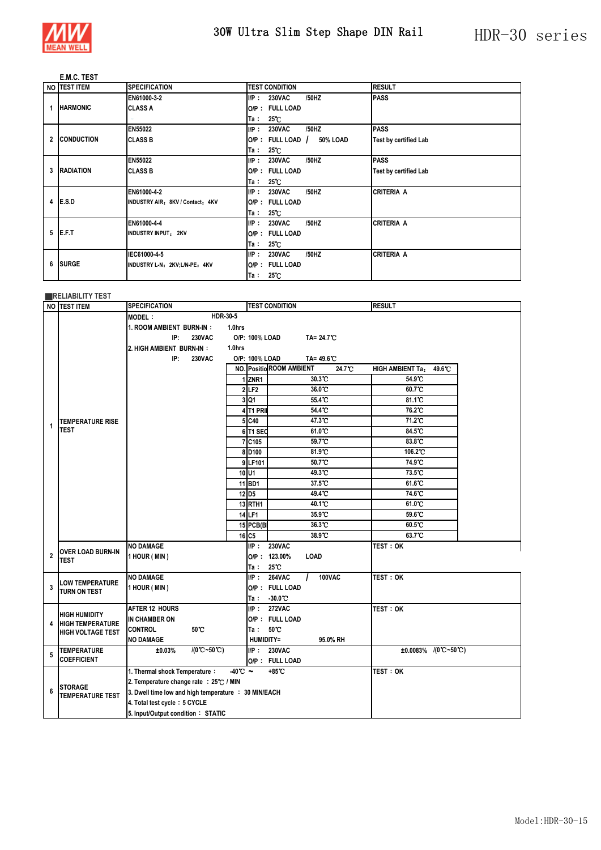

## **E.M.C. TEST**

|   | NO TEST ITEM      | <b>SPECIFICATION</b>             | <b>TEST CONDITION</b>             | <b>RESULT</b>                |
|---|-------------------|----------------------------------|-----------------------------------|------------------------------|
|   |                   | EN61000-3-2                      | UP:<br>/50HZ<br><b>230VAC</b>     | <b>PASS</b>                  |
|   | <b>HARMONIC</b>   | <b>CLASS A</b>                   | O/P: FULL LOAD                    |                              |
|   |                   |                                  | $25^\circ$ C<br>Ta:               |                              |
|   |                   | <b>EN55022</b>                   | /50HZ<br>UP:<br><b>230VAC</b>     | <b>PASS</b>                  |
| 2 | <b>CONDUCTION</b> | <b>CLASS B</b>                   | $O/P$ : FULL LOAD /<br>50% LOAD   | <b>Test by certified Lab</b> |
|   |                   |                                  | $25^\circ$ C<br>Ta ∶              |                              |
|   |                   | <b>EN55022</b>                   | UP:<br>/50HZ<br><b>230VAC</b>     | <b>PASS</b>                  |
| 3 | <b>RADIATION</b>  | <b>CLASS B</b>                   | O/P: FULL LOAD                    | <b>Test by certified Lab</b> |
|   |                   |                                  | 25 C<br>Ta :                      |                              |
|   |                   | EN61000-4-2                      | /50HZ<br><b>230VAC</b><br>UP:     | <b>CRITERIA A</b>            |
| 4 | E.S.D             | INDUSTRY AIR: 8KV / Contact: 4KV | O/P: FULL LOAD                    |                              |
|   |                   |                                  | $25^\circ$ C<br>Ta :              |                              |
|   |                   | EN61000-4-4                      | /50HZ<br><b>230VAC</b><br>$I/P$ : | <b>CRITERIA A</b>            |
| 5 | E.F.T             | <b>INDUSTRY INPUT: 2KV</b>       | O/P: FULL LOAD                    |                              |
|   |                   |                                  | 25 C<br>Ta :                      |                              |
|   |                   | IEC61000-4-5                     | UP:<br>/50HZ<br><b>230VAC</b>     | <b>CRITERIA A</b>            |
| 6 | <b>ISURGE</b>     | INDUSTRY L-N: 2KV;L/N-PE: 4KV    | O/P: FULL LOAD                    |                              |
|   |                   |                                  | $25^\circ$ C<br>Ta :              |                              |

|                | <b>RELIABILITY TEST</b>  |                                                                                                                               |                      |                                         |                                                                                         |                                                                              |  |  |
|----------------|--------------------------|-------------------------------------------------------------------------------------------------------------------------------|----------------------|-----------------------------------------|-----------------------------------------------------------------------------------------|------------------------------------------------------------------------------|--|--|
|                | NO TEST ITEM             | <b>SPECIFICATION</b>                                                                                                          |                      |                                         | <b>TEST CONDITION</b>                                                                   | <b>RESULT</b>                                                                |  |  |
|                |                          | HDR-30-5<br><b>MODEL:</b><br>1. ROOM AMBIENT BURN-IN:<br>1.0hrs<br>IP:<br><b>230VAC</b><br>2. HIGH AMBIENT BURN-IN:<br>1.0hrs |                      |                                         |                                                                                         |                                                                              |  |  |
|                |                          | IP:<br><b>230VAC</b>                                                                                                          |                      | O/P: 100% LOAD<br>1ZNR1<br>2LE2<br>3 Q1 | TA=49.6 C<br>NO. Positio ROOM AMBIENT<br>24.7°C<br>30.3 C<br>$36.0 \text{ C}$<br>55.4 C | 49.6°C<br><b>HIGH AMBIENT Ta:</b><br>54.9 C<br>60.7°C<br>81.1 <sup>°</sup> C |  |  |
|                |                          |                                                                                                                               |                      | 4 T1 PRI                                | 54.4 C                                                                                  | 76.2 <sup>°</sup> C                                                          |  |  |
|                | <b>TEMPERATURE RISE</b>  |                                                                                                                               |                      | 5 C40                                   | 47.3 C                                                                                  | 71.2 <sup>°</sup> C                                                          |  |  |
| 1              | TEST                     |                                                                                                                               |                      | 6 T1 SEC                                | 61.0 C                                                                                  | 84.5 °C                                                                      |  |  |
|                |                          |                                                                                                                               |                      | 7 C105                                  | 59.7 <sup>°</sup> C                                                                     | 83.8 °C                                                                      |  |  |
|                |                          |                                                                                                                               |                      | 8D <sub>100</sub>                       | 81.9 C                                                                                  | 106.2 <sup>C</sup>                                                           |  |  |
|                |                          |                                                                                                                               |                      | 9 LF101                                 | 50.7°C                                                                                  | 74.9 C                                                                       |  |  |
|                |                          |                                                                                                                               |                      | 10U1                                    | 49.3 C                                                                                  | $73.5^{\circ}$                                                               |  |  |
|                |                          |                                                                                                                               |                      | 11 <b>BD1</b>                           | 37.5 C                                                                                  | 61.6 <sup>°</sup> C                                                          |  |  |
|                |                          |                                                                                                                               |                      | 12 D <sub>5</sub>                       | 49.4 C                                                                                  | 74.6 C                                                                       |  |  |
|                |                          |                                                                                                                               |                      | <b>13 RTH1</b>                          | 40.1 <sup>°</sup> C                                                                     | 61.0 C                                                                       |  |  |
|                |                          |                                                                                                                               |                      | 14 LF1                                  | 35.9 C                                                                                  | 59.6 °C                                                                      |  |  |
|                |                          |                                                                                                                               |                      | 15 PCB(B)                               | 36.3 C                                                                                  | 60.5°C                                                                       |  |  |
|                |                          |                                                                                                                               |                      | 16 C5                                   | 38.9 C                                                                                  | 63.7°C                                                                       |  |  |
|                | OVER LOAD BURN-IN        | <b>NO DAMAGE</b>                                                                                                              |                      | UP:                                     | <b>230VAC</b>                                                                           | <b>TEST : OK</b>                                                             |  |  |
| $\overline{2}$ | TEST                     | 1 HOUR (MIN)                                                                                                                  |                      |                                         | O/P: 123.00%<br>LOAD                                                                    |                                                                              |  |  |
|                |                          |                                                                                                                               |                      | Ta :                                    | $25^\circ$                                                                              |                                                                              |  |  |
| 3              | <b>LOW TEMPERATURE</b>   | <b>NO DAMAGE</b>                                                                                                              |                      | UP:                                     | <b>264VAC</b><br>100VAC<br>O/P: FULL LOAD                                               | TEST: OK                                                                     |  |  |
|                | TURN ON TEST             | 1 HOUR (MIN)                                                                                                                  |                      |                                         | $Ta: 30.0^{\circ}C$                                                                     |                                                                              |  |  |
|                |                          | <b>AFTER 12 HOURS</b>                                                                                                         |                      | $I/P$ :                                 | <b>272VAC</b>                                                                           | <b>TEST: OK</b>                                                              |  |  |
|                | <b>HIGH HUMIDITY</b>     | IN CHAMBER ON                                                                                                                 |                      |                                         | O/P: FULL LOAD                                                                          |                                                                              |  |  |
| 4              | <b>HIGH TEMPERATURE</b>  | 50°C<br><b>CONTROL</b>                                                                                                        |                      | Ta :                                    | $50^{\circ}$ C                                                                          |                                                                              |  |  |
|                | <b>HIGH VOLTAGE TEST</b> | <b>NO DAMAGE</b>                                                                                                              |                      | HUMIDITY=                               | 95.0% RH                                                                                |                                                                              |  |  |
|                | <b>TEMPERATURE</b>       | $/(0^{\circ}C - 50^{\circ}C)$<br>±0.03%                                                                                       |                      | UP:                                     | 230VAC                                                                                  | $±0.0083\%$ /(0°C~50°C)                                                      |  |  |
| 5              | <b>COEFFICIENT</b>       |                                                                                                                               |                      |                                         | O/P: FULL LOAD                                                                          |                                                                              |  |  |
|                |                          | 1. Thermal shock Temperature:                                                                                                 | $-40^{\circ}$ $\sim$ |                                         | +85℃                                                                                    | test : ok                                                                    |  |  |
|                | <b>STORAGE</b>           | 2. Temperature change rate : 25°C / MIN                                                                                       |                      |                                         |                                                                                         |                                                                              |  |  |
| 6              | <b>TEMPERATURE TEST</b>  | 3. Dwell time low and high temperature : 30 MIN/EACH                                                                          |                      |                                         |                                                                                         |                                                                              |  |  |
|                |                          | 4. Total test cycle: 5 CYCLE                                                                                                  |                      |                                         |                                                                                         |                                                                              |  |  |
|                |                          | 5. Input/Output condition: STATIC                                                                                             |                      |                                         |                                                                                         |                                                                              |  |  |